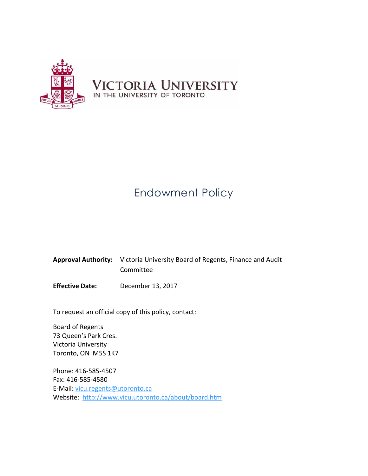

# Endowment Policy

| <b>Approval Authority:</b> Victoria University Board of Regents, Finance and Audit |
|------------------------------------------------------------------------------------|
| Committee                                                                          |

**Effective Date:** December 13, 2017

To request an official copy of this policy, contact:

Board of Regents 73 Queen's Park Cres. Victoria University Toronto, ON M5S 1K7

Phone: 416-585-4507 Fax: 416-585-4580 E-Mail: [vicu.regents@utoronto.ca](mailto:vicu.regents@utoronto.ca) Website: <http://www.vicu.utoronto.ca/about/board.htm>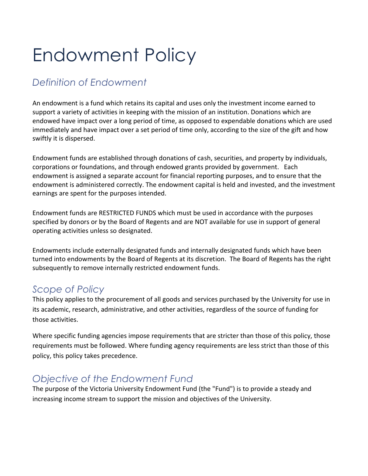# Endowment Policy

## *Definition of Endowment*

An endowment is a fund which retains its capital and uses only the investment income earned to support a variety of activities in keeping with the mission of an institution. Donations which are endowed have impact over a long period of time, as opposed to expendable donations which are used immediately and have impact over a set period of time only, according to the size of the gift and how swiftly it is dispersed.

Endowment funds are established through donations of cash, securities, and property by individuals, corporations or foundations, and through endowed grants provided by government. Each endowment is assigned a separate account for financial reporting purposes, and to ensure that the endowment is administered correctly. The endowment capital is held and invested, and the investment earnings are spent for the purposes intended.

Endowment funds are RESTRICTED FUNDS which must be used in accordance with the purposes specified by donors or by the Board of Regents and are NOT available for use in support of general operating activities unless so designated.

Endowments include externally designated funds and internally designated funds which have been turned into endowments by the Board of Regents at its discretion. The Board of Regents has the right subsequently to remove internally restricted endowment funds.

#### *Scope of Policy*

This policy applies to the procurement of all goods and services purchased by the University for use in its academic, research, administrative, and other activities, regardless of the source of funding for those activities.

Where specific funding agencies impose requirements that are stricter than those of this policy, those requirements must be followed. Where funding agency requirements are less strict than those of this policy, this policy takes precedence.

## *Objective of the Endowment Fund*

The purpose of the Victoria University Endowment Fund (the "Fund") is to provide a steady and increasing income stream to support the mission and objectives of the University.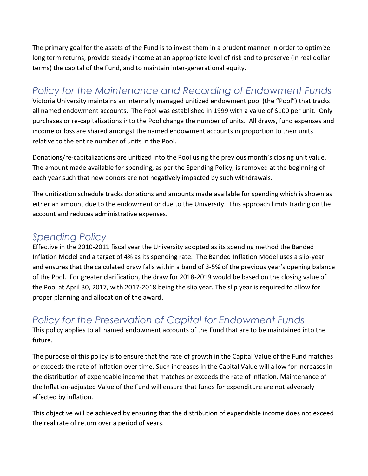The primary goal for the assets of the Fund is to invest them in a prudent manner in order to optimize long term returns, provide steady income at an appropriate level of risk and to preserve (in real dollar terms) the capital of the Fund, and to maintain inter-generational equity.

#### *Policy for the Maintenance and Recording of Endowment Funds*

Victoria University maintains an internally managed unitized endowment pool (the "Pool") that tracks all named endowment accounts. The Pool was established in 1999 with a value of \$100 per unit. Only purchases or re-capitalizations into the Pool change the number of units. All draws, fund expenses and income or loss are shared amongst the named endowment accounts in proportion to their units relative to the entire number of units in the Pool.

Donations/re-capitalizations are unitized into the Pool using the previous month's closing unit value. The amount made available for spending, as per the Spending Policy, is removed at the beginning of each year such that new donors are not negatively impacted by such withdrawals.

The unitization schedule tracks donations and amounts made available for spending which is shown as either an amount due to the endowment or due to the University. This approach limits trading on the account and reduces administrative expenses.

#### *Spending Policy*

Effective in the 2010-2011 fiscal year the University adopted as its spending method the Banded Inflation Model and a target of 4% as its spending rate. The Banded Inflation Model uses a slip-year and ensures that the calculated draw falls within a band of 3-5% of the previous year's opening balance of the Pool. For greater clarification, the draw for 2018-2019 would be based on the closing value of the Pool at April 30, 2017, with 2017-2018 being the slip year. The slip year is required to allow for proper planning and allocation of the award.

## *Policy for the Preservation of Capital for Endowment Funds*

This policy applies to all named endowment accounts of the Fund that are to be maintained into the future.

The purpose of this policy is to ensure that the rate of growth in the Capital Value of the Fund matches or exceeds the rate of inflation over time. Such increases in the Capital Value will allow for increases in the distribution of expendable income that matches or exceeds the rate of inflation. Maintenance of the Inflation-adjusted Value of the Fund will ensure that funds for expenditure are not adversely affected by inflation.

This objective will be achieved by ensuring that the distribution of expendable income does not exceed the real rate of return over a period of years.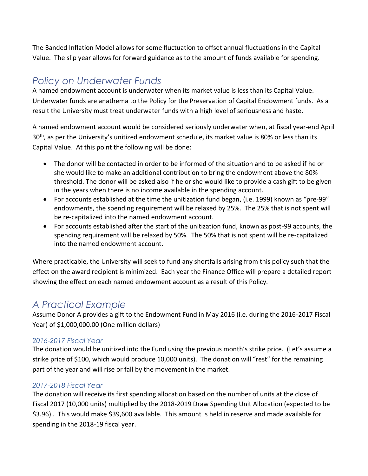The Banded Inflation Model allows for some fluctuation to offset annual fluctuations in the Capital Value. The slip year allows for forward guidance as to the amount of funds available for spending.

#### *Policy on Underwater Funds*

A named endowment account is underwater when its market value is less than its Capital Value. Underwater funds are anathema to the Policy for the Preservation of Capital Endowment funds. As a result the University must treat underwater funds with a high level of seriousness and haste.

A named endowment account would be considered seriously underwater when, at fiscal year-end April 30<sup>th</sup>, as per the University's unitized endowment schedule, its market value is 80% or less than its Capital Value. At this point the following will be done:

- The donor will be contacted in order to be informed of the situation and to be asked if he or she would like to make an additional contribution to bring the endowment above the 80% threshold. The donor will be asked also if he or she would like to provide a cash gift to be given in the years when there is no income available in the spending account.
- For accounts established at the time the unitization fund began, (i.e. 1999) known as "pre-99" endowments, the spending requirement will be relaxed by 25%. The 25% that is not spent will be re-capitalized into the named endowment account.
- For accounts established after the start of the unitization fund, known as post-99 accounts, the spending requirement will be relaxed by 50%. The 50% that is not spent will be re-capitalized into the named endowment account.

Where practicable, the University will seek to fund any shortfalls arising from this policy such that the effect on the award recipient is minimized. Each year the Finance Office will prepare a detailed report showing the effect on each named endowment account as a result of this Policy.

## *A Practical Example*

Assume Donor A provides a gift to the Endowment Fund in May 2016 (i.e. during the 2016-2017 Fiscal Year) of \$1,000,000.00 (One million dollars)

#### *2016-2017 Fiscal Year*

The donation would be unitized into the Fund using the previous month's strike price. (Let's assume a strike price of \$100, which would produce 10,000 units). The donation will "rest" for the remaining part of the year and will rise or fall by the movement in the market.

#### *2017-2018 Fiscal Year*

The donation will receive its first spending allocation based on the number of units at the close of Fiscal 2017 (10,000 units) multiplied by the 2018-2019 Draw Spending Unit Allocation (expected to be \$3.96) . This would make \$39,600 available. This amount is held in reserve and made available for spending in the 2018-19 fiscal year.